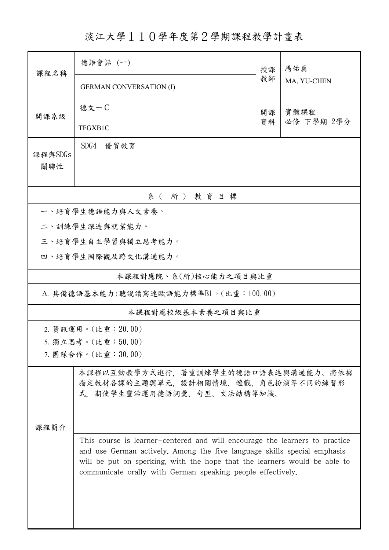淡江大學110學年度第2學期課程教學計畫表

| 課程名稱                                  | 德語會話 (一)                                                                                                                                                                                                                                                                                            |    | 馬佑真                |  |  |  |  |
|---------------------------------------|-----------------------------------------------------------------------------------------------------------------------------------------------------------------------------------------------------------------------------------------------------------------------------------------------------|----|--------------------|--|--|--|--|
|                                       | <b>GERMAN CONVERSATION (I)</b>                                                                                                                                                                                                                                                                      | 教師 | MA, YU-CHEN        |  |  |  |  |
| 開課系級                                  | 徳文一C                                                                                                                                                                                                                                                                                                | 開課 | 實體課程<br>必修 下學期 2學分 |  |  |  |  |
|                                       | TFGXB1C                                                                                                                                                                                                                                                                                             | 資料 |                    |  |  |  |  |
| 課程與SDGs<br>關聯性                        | SDG4<br>優質教育                                                                                                                                                                                                                                                                                        |    |                    |  |  |  |  |
| 系(所)教育目標                              |                                                                                                                                                                                                                                                                                                     |    |                    |  |  |  |  |
|                                       | 一、培育學生德語能力與人文素養。                                                                                                                                                                                                                                                                                    |    |                    |  |  |  |  |
|                                       | 二、訓練學生深造與就業能力。                                                                                                                                                                                                                                                                                      |    |                    |  |  |  |  |
|                                       | 三、培育學生自主學習與獨立思考能力。                                                                                                                                                                                                                                                                                  |    |                    |  |  |  |  |
|                                       | 四、培育學生國際觀及跨文化溝通能力。                                                                                                                                                                                                                                                                                  |    |                    |  |  |  |  |
|                                       | 本課程對應院、系(所)核心能力之項目與比重                                                                                                                                                                                                                                                                               |    |                    |  |  |  |  |
| A. 具備德語基本能力:聽說讀寫達歐語能力標準B1。(比重:100.00) |                                                                                                                                                                                                                                                                                                     |    |                    |  |  |  |  |
| 本課程對應校級基本素養之項目與比重                     |                                                                                                                                                                                                                                                                                                     |    |                    |  |  |  |  |
| 2. 資訊運用。(比重: 20.00)                   |                                                                                                                                                                                                                                                                                                     |    |                    |  |  |  |  |
| 5. 獨立思考。(比重:50.00)                    |                                                                                                                                                                                                                                                                                                     |    |                    |  |  |  |  |
| 7. 團隊合作。(比重:30.00)                    |                                                                                                                                                                                                                                                                                                     |    |                    |  |  |  |  |
|                                       | 本課程以互動教學方式進行,著重訓練學生的德語口語表達與溝通能力。將依據<br>指定教材各課的主題與單元,設計相關情境、遊戲、角色扮演等不同的練習形<br>式,期使學生靈活運用德語詞彙、句型、文法結構等知識。                                                                                                                                                                                             |    |                    |  |  |  |  |
| 课程简介                                  |                                                                                                                                                                                                                                                                                                     |    |                    |  |  |  |  |
|                                       | This course is learner-centered and will encourage the learners to practice<br>and use German actively. Among the five language skills special emphasis<br>will be put on sperking, with the hope that the learners would be able to<br>communicate orally with German speaking people effectively. |    |                    |  |  |  |  |
|                                       |                                                                                                                                                                                                                                                                                                     |    |                    |  |  |  |  |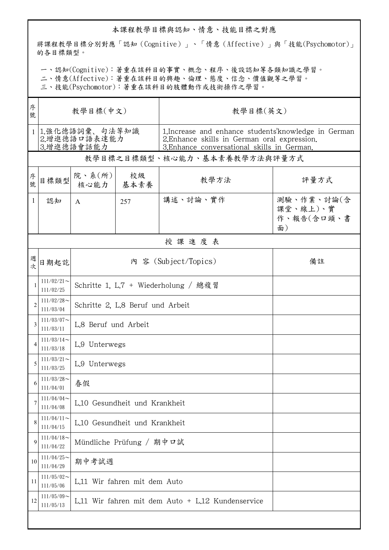## 本課程教學目標與認知、情意、技能目標之對應

將課程教學目標分別對應「認知(Cognitive)」、「情意(Affective)」與「技能(Psychomotor)」 的各目標類型。

一、認知(Cognitive):著重在該科目的事實、概念、程序、後設認知等各類知識之學習。

二、情意(Affective):著重在該科目的興趣、倫理、態度、信念、價值觀等之學習。

三、技能(Psychomotor):著重在該科目的肢體動作或技術操作之學習。

| 序<br>號         | 教學目標(中文)                                     |                                                   |     | 教學目標(英文)                                                                                                                                             |                                            |  |  |  |
|----------------|----------------------------------------------|---------------------------------------------------|-----|------------------------------------------------------------------------------------------------------------------------------------------------------|--------------------------------------------|--|--|--|
| $\mathbf{1}$   | 1.強化德語詞彙、句法等知識<br>2.增進德語口語表達能力<br>3.增進德語會話能力 |                                                   |     | 1. Increase and enhance students' knowledge in German<br>2. Enhance skills in German oral expression.<br>3. Enhance conversational skills in German. |                                            |  |  |  |
|                | 教學目標之目標類型、核心能力、基本素養教學方法與評量方式                 |                                                   |     |                                                                                                                                                      |                                            |  |  |  |
| 序號             | 目標類型                                         | 院、系 $(\hbox{\tt m})$<br>核心能力   基本素養               | 校級  | 教學方法                                                                                                                                                 | 評量方式                                       |  |  |  |
| 1              | 認知                                           | $\mathsf{A}$                                      | 257 | 講述、討論、實作                                                                                                                                             | 測驗、作業、討論(含<br>課堂、線上)、實<br>作、報告(含口頭、書<br>面) |  |  |  |
|                | 授課進度表                                        |                                                   |     |                                                                                                                                                      |                                            |  |  |  |
| 週次             | 日期起訖                                         | 內 容 (Subject/Topics)<br>備註                        |     |                                                                                                                                                      |                                            |  |  |  |
| 1              | $111/02/21$ ~<br>111/02/25                   | Schritte 1, L.7 + Wiederholung / 總複習              |     |                                                                                                                                                      |                                            |  |  |  |
| $\overline{c}$ | $111/02/28$ ~<br>111/03/04                   | Schritte 2, L.8 Beruf und Arbeit                  |     |                                                                                                                                                      |                                            |  |  |  |
| 3              | $111/03/07$ ~<br>111/03/11                   | L.8 Beruf und Arbeit                              |     |                                                                                                                                                      |                                            |  |  |  |
| 4              | $111/03/14$ ~<br>111/03/18                   | L.9 Unterwegs                                     |     |                                                                                                                                                      |                                            |  |  |  |
| 5              | $111/03/21$ ~<br>111/03/25                   | L.9 Unterwegs                                     |     |                                                                                                                                                      |                                            |  |  |  |
| 6              | $111/03/28$ ~<br>111/04/01                   | 春假                                                |     |                                                                                                                                                      |                                            |  |  |  |
| 7              | 111/04/04<br>111/04/08                       | L.10 Gesundheit und Krankheit                     |     |                                                                                                                                                      |                                            |  |  |  |
| 8              | $111/04/11$ ~<br>111/04/15                   | L.10 Gesundheit und Krankheit                     |     |                                                                                                                                                      |                                            |  |  |  |
| 9              | $111/04/18$ ~<br>111/04/22                   | Mündliche Prüfung / 期中口試                          |     |                                                                                                                                                      |                                            |  |  |  |
| 10             | $111/04/25$ ~<br>111/04/29                   | 期中考試週                                             |     |                                                                                                                                                      |                                            |  |  |  |
| 11             | $111/05/02$ ~<br>111/05/06                   | L.11 Wir fahren mit dem Auto                      |     |                                                                                                                                                      |                                            |  |  |  |
| 12             | $111/05/09$ ~<br>111/05/13                   | L.11 Wir fahren mit dem Auto + L.12 Kundenservice |     |                                                                                                                                                      |                                            |  |  |  |
|                |                                              |                                                   |     |                                                                                                                                                      |                                            |  |  |  |